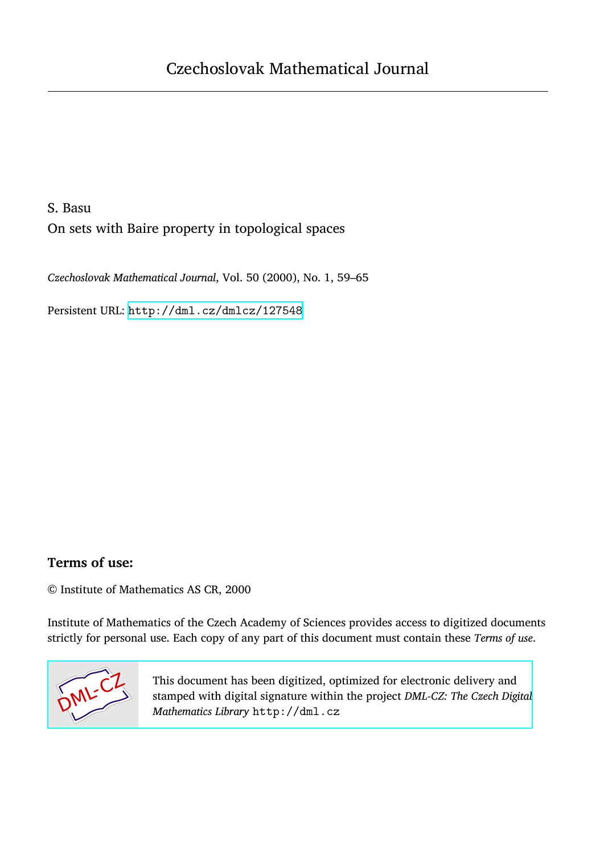# S. Basu

On sets with Baire property in topological spaces

*Czechoslovak Mathematical Journal*, Vol. 50 (2000), No. 1, 59–65

Persistent URL: <http://dml.cz/dmlcz/127548>

## **Terms of use:**

© Institute of Mathematics AS CR, 2000

Institute of Mathematics of the Czech Academy of Sciences provides access to digitized documents strictly for personal use. Each copy of any part of this document must contain these *Terms of use*.



[This document has been digitized, optimized for electronic delivery and](http://dml.cz) stamped with digital signature within the project *DML-CZ: The Czech Digital Mathematics Library* http://dml.cz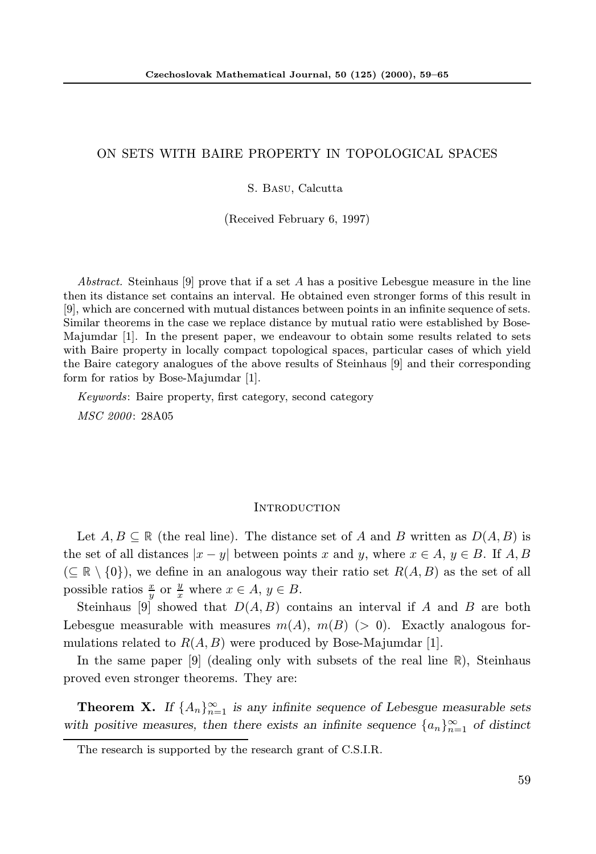### ON SETS WITH BAIRE PROPERTY IN TOPOLOGICAL SPACES

#### S. Basu, Calcutta

(Received February 6, 1997)

Abstract. Steinhaus [9] prove that if a set A has a positive Lebesgue measure in the line then its distance set contains an interval. He obtained even stronger forms of this result in [9], which are concerned with mutual distances between points in an infinite sequence of sets. Similar theorems in the case we replace distance by mutual ratio were established by Bose-Majumdar [1]. In the present paper, we endeavour to obtain some results related to sets with Baire property in locally compact topological spaces, particular cases of which yield the Baire category analogues of the above results of Steinhaus [9] and their corresponding form for ratios by Bose-Majumdar [1].

Keywords: Baire property, first category, second category MSC 2000: 28A05

#### **INTRODUCTION**

Let  $A, B \subseteq \mathbb{R}$  (the real line). The distance set of A and B written as  $D(A, B)$  is the set of all distances  $|x - y|$  between points x and y, where  $x \in A, y \in B$ . If  $A, B$  $(\subseteq \mathbb{R} \setminus \{0\})$ , we define in an analogous way their ratio set  $R(A, B)$  as the set of all possible ratios  $\frac{x}{y}$  or  $\frac{y}{x}$  where  $x \in A$ ,  $y \in B$ .

Steinhaus [9] showed that  $D(A, B)$  contains an interval if A and B are both Lebesgue measurable with measures  $m(A)$ ,  $m(B)$  (> 0). Exactly analogous formulations related to  $R(A, B)$  were produced by Bose-Majumdar [1].

In the same paper [9] (dealing only with subsets of the real line  $\mathbb{R}$ ), Steinhaus proved even stronger theorems. They are:

**Theorem X.** If  $\{A_n\}_{n=1}^{\infty}$  is any infinite sequence of Lebesgue measurable sets with positive measures, then there exists an infinite sequence  $\{a_n\}_{n=1}^{\infty}$  of distinct

The research is supported by the research grant of C.S.I.R.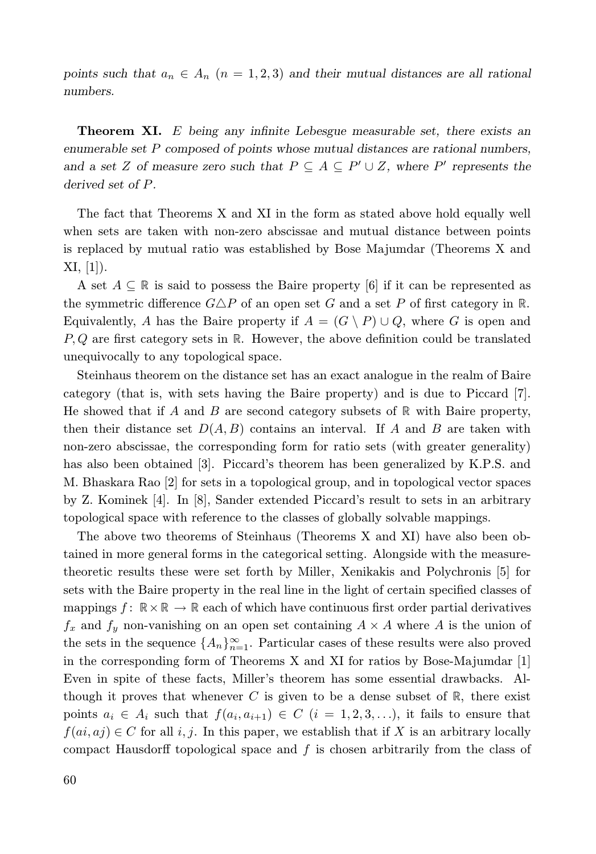points such that  $a_n \in A_n$   $(n = 1, 2, 3)$  and their mutual distances are all rational numbers.

Theorem XI. E being any infinite Lebesgue measurable set, there exists an enumerable set P composed of points whose mutual distances are rational numbers, and a set Z of measure zero such that  $P \subseteq A \subseteq P' \cup Z$ , where P' represents the derived set of P.

The fact that Theorems X and XI in the form as stated above hold equally well when sets are taken with non-zero abscissae and mutual distance between points is replaced by mutual ratio was established by Bose Majumdar (Theorems X and  $XI, [1]$ .

A set  $A \subseteq \mathbb{R}$  is said to possess the Baire property [6] if it can be represented as the symmetric difference  $G \Delta P$  of an open set G and a set P of first category in R. Equivalently, A has the Baire property if  $A = (G \setminus P) \cup Q$ , where G is open and  $P, Q$  are first category sets in  $\mathbb R$ . However, the above definition could be translated unequivocally to any topological space.

Steinhaus theorem on the distance set has an exact analogue in the realm of Baire category (that is, with sets having the Baire property) and is due to Piccard [7]. He showed that if A and B are second category subsets of  $\mathbb R$  with Baire property, then their distance set  $D(A, B)$  contains an interval. If A and B are taken with non-zero abscissae, the corresponding form for ratio sets (with greater generality) has also been obtained [3]. Piccard's theorem has been generalized by K.P.S. and M. Bhaskara Rao [2] for sets in a topological group, and in topological vector spaces by Z. Kominek [4]. In [8], Sander extended Piccard's result to sets in an arbitrary topological space with reference to the classes of globally solvable mappings.

The above two theorems of Steinhaus (Theorems X and XI) have also been obtained in more general forms in the categorical setting. Alongside with the measuretheoretic results these were set forth by Miller, Xenikakis and Polychronis [5] for sets with the Baire property in the real line in the light of certain specified classes of mappings  $f: \mathbb{R} \times \mathbb{R} \to \mathbb{R}$  each of which have continuous first order partial derivatives  $f_x$  and  $f_y$  non-vanishing on an open set containing  $A \times A$  where A is the union of the sets in the sequence  $\{A_n\}_{n=1}^{\infty}$ . Particular cases of these results were also proved in the corresponding form of Theorems X and XI for ratios by Bose-Majumdar [1] Even in spite of these facts, Miller's theorem has some essential drawbacks. Although it proves that whenever C is given to be a dense subset of  $\mathbb{R}$ , there exist points  $a_i \in A_i$  such that  $f(a_i, a_{i+1}) \in C$   $(i = 1, 2, 3, \ldots)$ , it fails to ensure that  $f(ai, aj) \in C$  for all i, j. In this paper, we establish that if X is an arbitrary locally compact Hausdorff topological space and  $f$  is chosen arbitrarily from the class of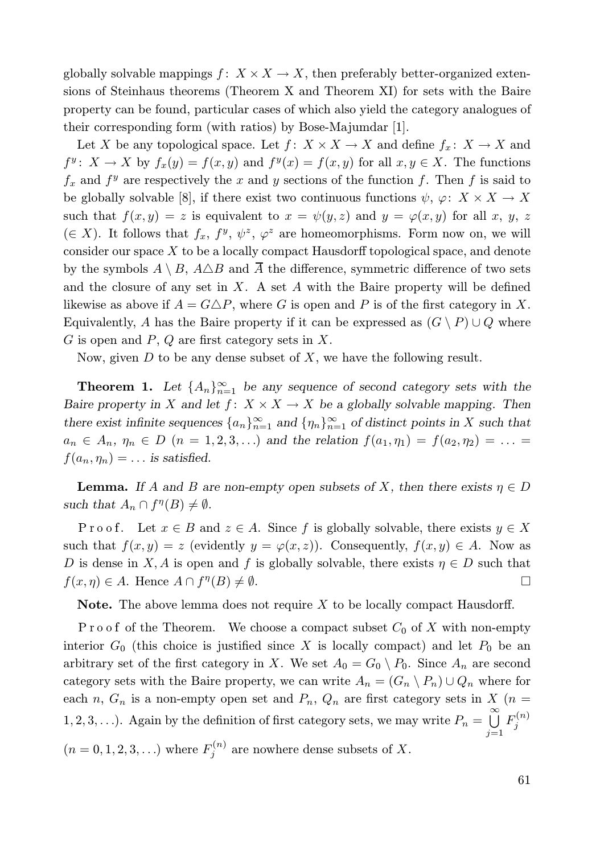globally solvable mappings  $f: X \times X \to X$ , then preferably better-organized extensions of Steinhaus theorems (Theorem X and Theorem XI) for sets with the Baire property can be found, particular cases of which also yield the category analogues of their corresponding form (with ratios) by Bose-Majumdar [1].

Let X be any topological space. Let  $f: X \times X \to X$  and define  $f_x: X \to X$  and  $f^y: X \to X$  by  $f_x(y) = f(x, y)$  and  $f^y(x) = f(x, y)$  for all  $x, y \in X$ . The functions  $f_x$  and  $f^y$  are respectively the x and y sections of the function f. Then f is said to be globally solvable [8], if there exist two continuous functions  $\psi$ ,  $\varphi: X \times X \to X$ such that  $f(x, y) = z$  is equivalent to  $x = \psi(y, z)$  and  $y = \varphi(x, y)$  for all x, y, z (∈ X). It follows that  $f_x$ ,  $f^y$ ,  $\psi^z$ ,  $\varphi^z$  are homeomorphisms. Form now on, we will consider our space X to be a locally compact Hausdorff topological space, and denote by the symbols  $A \setminus B$ ,  $A \triangle B$  and  $\overline{A}$  the difference, symmetric difference of two sets and the closure of any set in  $X$ . A set  $A$  with the Baire property will be defined likewise as above if  $A = G \triangle P$ , where G is open and P is of the first category in X. Equivalently, A has the Baire property if it can be expressed as  $(G \setminus P) \cup Q$  where  $G$  is open and  $P, Q$  are first category sets in  $X$ .

Now, given  $D$  to be any dense subset of  $X$ , we have the following result.

**Theorem 1.** Let  $\{A_n\}_{n=1}^{\infty}$  be any sequence of second category sets with the Baire property in X and let  $f: X \times X \to X$  be a globally solvable mapping. Then there exist infinite sequences  $\{a_n\}_{n=1}^{\infty}$  and  $\{\eta_n\}_{n=1}^{\infty}$  of distinct points in X such that  $a_n \in A_n$ ,  $\eta_n \in D$   $(n = 1, 2, 3, ...)$  and the relation  $f(a_1, \eta_1) = f(a_2, \eta_2) = ...$  $f(a_n, \eta_n) = \ldots$  is satisfied.

**Lemma.** If A and B are non-empty open subsets of X, then there exists  $\eta \in D$ such that  $A_n \cap f^{\eta}(B) \neq \emptyset$ .

Proof. Let  $x \in B$  and  $z \in A$ . Since f is globally solvable, there exists  $y \in X$ such that  $f(x, y) = z$  (evidently  $y = \varphi(x, z)$ ). Consequently,  $f(x, y) \in A$ . Now as D is dense in X, A is open and f is globally solvable, there exists  $\eta \in D$  such that  $f(x, \eta) \in A$ . Hence  $A \cap f^{\eta}(B) \neq \emptyset$ .

**Note.** The above lemma does not require  $X$  to be locally compact Hausdorff.

 $P$ ro of of the Theorem. We choose a compact subset  $C_0$  of X with non-empty interior  $G_0$  (this choice is justified since X is locally compact) and let  $P_0$  be an arbitrary set of the first category in X. We set  $A_0 = G_0 \setminus P_0$ . Since  $A_n$  are second category sets with the Baire property, we can write  $A_n = (G_n \setminus P_n) \cup Q_n$  where for each n,  $G_n$  is a non-empty open set and  $P_n$ ,  $Q_n$  are first category sets in X (n = 1, 2, 3,...). Again by the definition of first category sets, we may write  $P_n = \bigcup_{n=1}^{\infty} P_n$  $j=1$  $F^{(n)}_j$  $(n = 0, 1, 2, 3, ...)$  where  $F_j^{(n)}$  are nowhere dense subsets of X.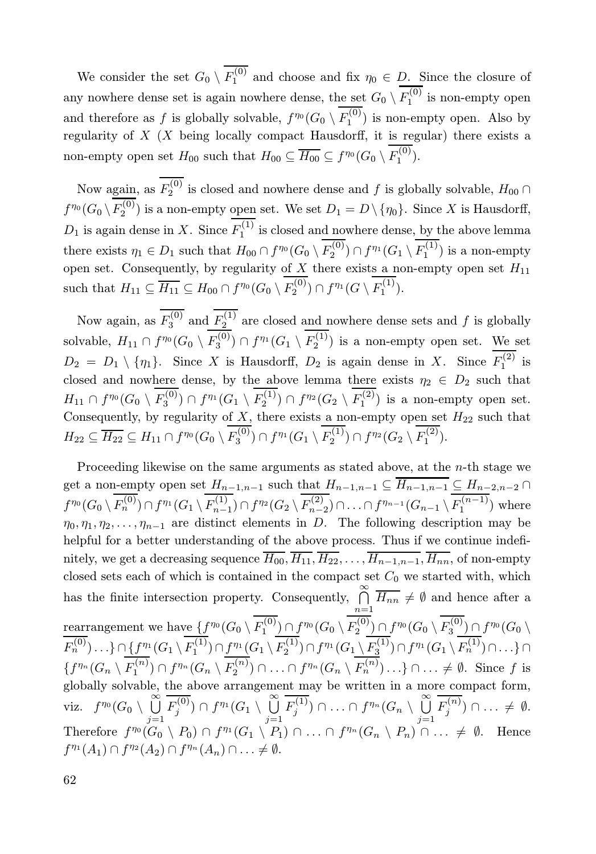We consider the set  $G_0 \setminus F_1^{(0)}$  and choose and fix  $\eta_0 \in D$ . Since the closure of any nowhere dense set is again nowhere dense, the set  $G_0 \setminus F_1^{(0)}$  is non-empty open and therefore as f is globally solvable,  $f^{\eta_0}(G_0 \setminus F_1^{(0)})$  is non-empty open. Also by regularity of  $X$  (X being locally compact Hausdorff, it is regular) there exists a non-empty open set  $H_{00}$  such that  $H_{00} \subseteq \overline{H_{00}} \subseteq f^{\eta_0}(G_0 \setminus F_1^{(0)})$ .

Now again, as  $F_2^{(0)}$  is closed and nowhere dense and f is globally solvable,  $H_{00} \cap$  $f^{\eta_0}(G_0 \setminus F_2^{(0)})$  is a non-empty open set. We set  $D_1 = D \setminus \{\eta_0\}$ . Since X is Hausdorff,  $D_1$  is again dense in X. Since  $F_1^{(1)}$  is closed and nowhere dense, by the above lemma there exists  $\eta_1 \in D_1$  such that  $H_{00} \cap f^{\eta_0}(G_0 \setminus F_2^{(0)}) \cap f^{\eta_1}(G_1 \setminus F_1^{(1)})$  is a non-empty open set. Consequently, by regularity of  $X$  there exists a non-empty open set  $H_{11}$ such that  $H_{11} \subseteq \overline{H_{11}} \subseteq H_{00} \cap f^{\eta_0}(G_0 \setminus F_2^{(0)}) \cap f^{\eta_1}(G \setminus F_1^{(1)}).$ 

Now again, as  $F_3^{(0)}$  and  $F_2^{(1)}$  are closed and nowhere dense sets and f is globally solvable,  $H_{11} \cap f^{\eta_0}(G_0 \setminus F_3^{(0)}) \cap f^{\eta_1}(G_1 \setminus F_2^{(1)})$  is a non-empty open set. We set  $D_2 = D_1 \setminus \{\eta_1\}.$  Since X is Hausdorff,  $D_2$  is again dense in X. Since  $F_1^{(2)}$  is closed and nowhere dense, by the above lemma there exists  $\eta_2 \in D_2$  such that  $H_{11} \cap f^{\eta_0}(G_0 \setminus F_3^{(0)}) \cap f^{\eta_1}(G_1 \setminus F_2^{(1)}) \cap f^{\eta_2}(G_2 \setminus F_1^{(2)})$  is a non-empty open set. Consequently, by regularity of  $X$ , there exists a non-empty open set  $H_{22}$  such that  $H_{22} \subseteq \overline{H_{22}} \subseteq H_{11} \cap f^{\eta_0}(G_0 \setminus F_3^{(0)}) \cap f^{\eta_1}(G_1 \setminus F_2^{(1)}) \cap f^{\eta_2}(G_2 \setminus F_1^{(2)}).$ 

Proceeding likewise on the same arguments as stated above, at the n-th stage we get a non-empty open set  $H_{n-1,n-1}$  such that  $H_{n-1,n-1} \subseteq H_{n-1,n-1} \subseteq H_{n-2,n-2} \cap$  $f^{\eta_0}(G_0 \setminus F_n^{(0)}) \cap f^{\eta_1}(G_1 \setminus F_{n-1}^{(1)}) \cap f^{\eta_2}(G_2 \setminus F_{n-2}^{(2)}) \cap \ldots \cap f^{\eta_{n-1}}(G_{n-1} \setminus F_1^{(n-1)})$  where  $\eta_0, \eta_1, \eta_2, \ldots, \eta_{n-1}$  are distinct elements in D. The following description may be helpful for a better understanding of the above process. Thus if we continue indefinitely, we get a decreasing sequence  $\overline{H_{00}}, \overline{H_{11}}, \overline{H_{22}}, \ldots, \overline{H_{n-1,n-1}}, \overline{H_{nn}}$ , of non-empty closed sets each of which is contained in the compact set  $C_0$  we started with, which has the finite intersection property. Consequently,  $\bigcap_{n=1}^{\infty} \overline{H_{nn}} \neq \emptyset$  and hence after a  $n=1$  $\frac{\operatorname{rearr}}{2}$  angement we have  $\{f^{\eta_0}(G_0 \setminus F_1^{(0)}) \cap f^{\eta_0}(G_0 \setminus F_2^{(0)}) \cap f^{\eta_0}(G_0 \setminus F_3^{(0)}) \cap f^{\eta_0}(G_0 \setminus F_4^{(0)})\}$  $F_n^{(0)}\) \ldots\} \cap \{f^{\eta_1}(G_1 \setminus F_1^{(1)}) \cap f^{\eta_1}(G_1 \setminus F_2^{(1)}) \cap f^{\eta_1}(G_1 \setminus F_3^{(1)}) \cap f^{\eta_1}(G_1 \setminus F_n^{(1)}) \cap \ldots\} \cap$  $\{f^{\eta_n}(G_n \setminus F_1^{(n)}) \cap f^{\eta_n}(G_n \setminus F_2^{(n)}) \cap \ldots \cap f^{\eta_n}(G_n \setminus F_n^{(n)}) \ldots \} \cap \ldots \neq \emptyset$ . Since f is globally solvable, the above arrangement may be written in a more compact form, viz.  $f^{\eta_0}(G_0\setminus\bigcup_{n=1}^\infty$  $j=1$  $\overline{F_j^{(0)}})\cap f^{\eta_1}(G_1\setminus \stackrel{\infty}{\textstyle\bigcup}$  $j=1$  $\overline{F_j^{(1)}}$ )  $\cap \ldots \cap f^{\eta_n}(G_n \setminus \bigcup_{i=1}^\infty$  $j=1$  $F_j^{(n)}$ )  $\cap \ldots \neq \emptyset$ . Therefore  $f^{\eta_0}(G_0 \setminus P_0) \cap f^{\eta_1}(G_1 \setminus P_1) \cap \ldots \cap f^{\eta_n}(G_n \setminus P_n) \cap \ldots \neq \emptyset$ . Hence  $f^{\eta_1}(A_1) \cap f^{\eta_2}(A_2) \cap f^{\eta_n}(A_n) \cap \ldots \neq \emptyset.$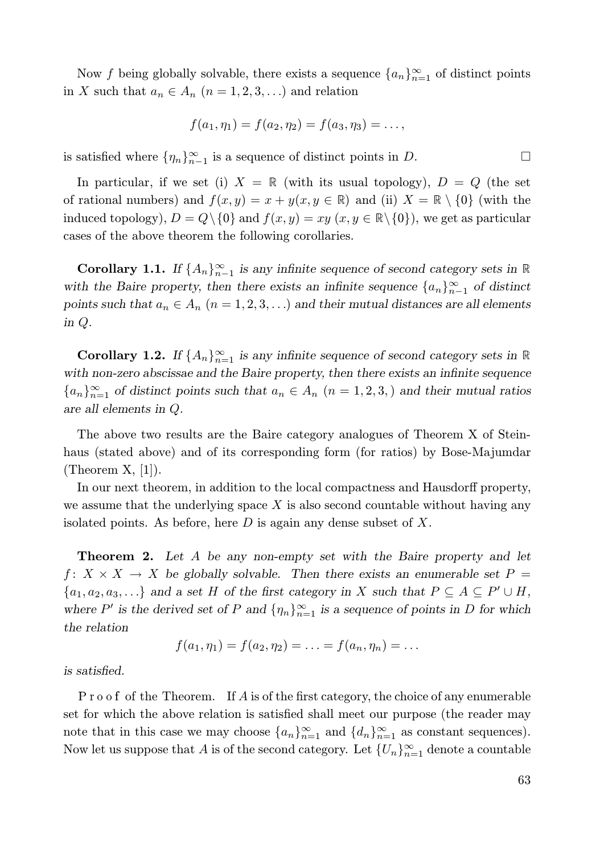Now f being globally solvable, there exists a sequence  $\{a_n\}_{n=1}^{\infty}$  of distinct points in X such that  $a_n \in A_n$   $(n = 1, 2, 3, ...)$  and relation

$$
f(a_1, \eta_1) = f(a_2, \eta_2) = f(a_3, \eta_3) = \dots,
$$

is satisfied where  $\{\eta_n\}_{n=1}^{\infty}$  is a sequence of distinct points in D.

In particular, if we set (i)  $X = \mathbb{R}$  (with its usual topology),  $D = Q$  (the set of rational numbers) and  $f(x, y) = x + y(x, y \in \mathbb{R})$  and (ii)  $X = \mathbb{R} \setminus \{0\}$  (with the induced topology),  $D = Q \setminus \{0\}$  and  $f(x, y) = xy$   $(x, y \in \mathbb{R} \setminus \{0\})$ , we get as particular cases of the above theorem the following corollaries.

**Corollary 1.1.** If  $\{A_n\}_{n=1}^{\infty}$  is any infinite sequence of second category sets in  $\mathbb{R}$ with the Baire property, then there exists an infinite sequence  $\{a_n\}_{n=1}^{\infty}$  of distinct points such that  $a_n \in A_n$   $(n = 1, 2, 3, ...)$  and their mutual distances are all elements in Q.

**Corollary 1.2.** If  $\{A_n\}_{n=1}^{\infty}$  is any infinite sequence of second category sets in  $\mathbb{R}$ with non-zero abscissae and the Baire property, then there exists an infinite sequence  ${a_n}_{n=1}^{\infty}$  of distinct points such that  $a_n \in A_n$   $(n = 1, 2, 3)$  and their mutual ratios are all elements in Q.

The above two results are the Baire category analogues of Theorem X of Steinhaus (stated above) and of its corresponding form (for ratios) by Bose-Majumdar (Theorem  $X$ , [1]).

In our next theorem, in addition to the local compactness and Hausdorff property, we assume that the underlying space  $X$  is also second countable without having any isolated points. As before, here  $D$  is again any dense subset of  $X$ .

**Theorem 2.** Let A be any non-empty set with the Baire property and let  $f: X \times X \to X$  be globally solvable. Then there exists an enumerable set  $P =$  $\{a_1, a_2, a_3, \ldots\}$  and a set H of the first category in X such that  $P \subseteq A \subseteq P' \cup H$ , where P' is the derived set of P and  $\{\eta_n\}_{n=1}^{\infty}$  is a sequence of points in D for which the relation

$$
f(a_1, \eta_1) = f(a_2, \eta_2) = \ldots = f(a_n, \eta_n) = \ldots
$$

is satisfied.

 $P r o o f$  of the Theorem. If  $A$  is of the first category, the choice of any enumerable set for which the above relation is satisfied shall meet our purpose (the reader may note that in this case we may choose  $\{a_n\}_{n=1}^{\infty}$  and  $\{d_n\}_{n=1}^{\infty}$  as constant sequences). Now let us suppose that A is of the second category. Let  $\{U_n\}_{n=1}^{\infty}$  denote a countable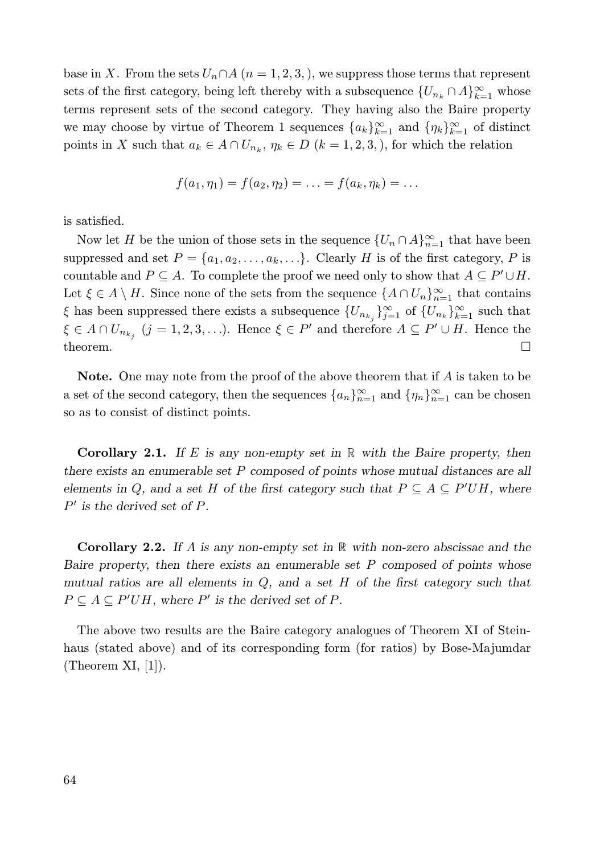base in X. From the sets  $U_n \cap A$   $(n = 1, 2, 3)$ , we suppress those terms that represent sets of the first category, being left thereby with a subsequence  $\{U_{n_k} \cap A\}_{k=1}^{\infty}$  whose terms represent sets of the second category. They having also the Baire property we may choose by virtue of Theorem 1 sequences  $\{a_k\}_{k=1}^{\infty}$  and  $\{\eta_k\}_{k=1}^{\infty}$  of distinct points in X such that  $a_k \in A \cap U_{n_k}$ ,  $\eta_k \in D$   $(k = 1, 2, 3)$ , for which the relation

$$
f(a_1, \eta_1) = f(a_2, \eta_2) = \ldots = f(a_k, \eta_k) = \ldots
$$

is satisfied.

Now let H be the union of those sets in the sequence  $\{U_n \cap A\}_{n=1}^{\infty}$  that have been suppressed and set  $P = \{a_1, a_2, \ldots, a_k, \ldots\}$ . Clearly H is of the first category, P is countable and  $P \subseteq A$ . To complete the proof we need only to show that  $A \subseteq P' \cup H$ . Let  $\xi \in A \setminus H$ . Since none of the sets from the sequence  $\{A \cap U_n\}_{n=1}^{\infty}$  that contains  $\xi$  has been suppressed there exists a subsequence  $\{U_{n_{k_j}}\}_{j=1}^{\infty}$  of  $\{U_{n_k}\}_{k=1}^{\infty}$  such that  $\xi \in A \cap U_{n_{k_j}}$   $(j = 1, 2, 3, \ldots)$ . Hence  $\xi \in P'$  and therefore  $A \subseteq P' \cup H$ . Hence the theorem.  $\Box$ 

**Note.** One may note from the proof of the above theorem that if  $A$  is taken to be a set of the second category, then the sequences  $\{a_n\}_{n=1}^{\infty}$  and  $\{\eta_n\}_{n=1}^{\infty}$  can be chosen so as to consist of distinct points.

**Corollary 2.1.** If E is any non-empty set in  $\mathbb R$  with the Baire property, then there exists an enumerable set P composed of points whose mutual distances are all elements in Q, and a set H of the first category such that  $P \subseteq A \subseteq P'UH$ , where  $P'$  is the derived set of P.

**Corollary 2.2.** If A is any non-empty set in  $\mathbb{R}$  with non-zero abscissae and the Baire property, then there exists an enumerable set  $P$  composed of points whose mutual ratios are all elements in  $Q$ , and a set  $H$  of the first category such that  $P \subseteq A \subseteq P'UH$ , where P' is the derived set of P.

The above two results are the Baire category analogues of Theorem XI of Steinhaus (stated above) and of its corresponding form (for ratios) by Bose-Majumdar (Theorem  $XI, [1]$ ).